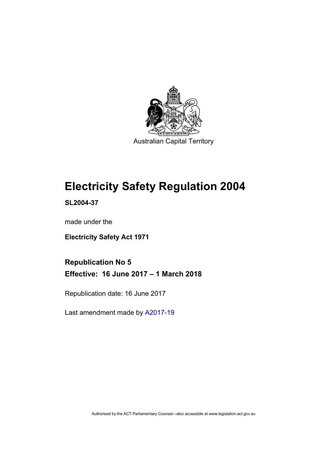

Australian Capital Territory

## **Electricity Safety Regulation 2004**

**SL2004-37** 

made under the

**Electricity Safety Act 1971** 

**Republication No 5 Effective: 16 June 2017 – 1 March 2018** 

Republication date: 16 June 2017

Last amendment made by [A2017-19](http://www.legislation.act.gov.au/a/2017-19/default.asp)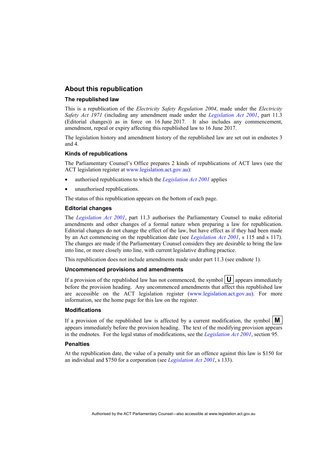### **About this republication**

#### **The republished law**

This is a republication of the *Electricity Safety Regulation 2004*, made under the *Electricity Safety Act 1971* (including any amendment made under the *[Legislation Act 2001](http://www.legislation.act.gov.au/a/2001-14)*, part 11.3 (Editorial changes)) as in force on 16 June 2017*.* It also includes any commencement, amendment, repeal or expiry affecting this republished law to 16 June 2017.

The legislation history and amendment history of the republished law are set out in endnotes 3 and 4.

#### **Kinds of republications**

The Parliamentary Counsel's Office prepares 2 kinds of republications of ACT laws (see the ACT legislation register at [www.legislation.act.gov.au](http://www.legislation.act.gov.au/)):

- authorised republications to which the *[Legislation Act 2001](http://www.legislation.act.gov.au/a/2001-14)* applies
- unauthorised republications.

The status of this republication appears on the bottom of each page.

#### **Editorial changes**

The *[Legislation Act 2001](http://www.legislation.act.gov.au/a/2001-14)*, part 11.3 authorises the Parliamentary Counsel to make editorial amendments and other changes of a formal nature when preparing a law for republication. Editorial changes do not change the effect of the law, but have effect as if they had been made by an Act commencing on the republication date (see *[Legislation Act 2001](http://www.legislation.act.gov.au/a/2001-14)*, s 115 and s 117). The changes are made if the Parliamentary Counsel considers they are desirable to bring the law into line, or more closely into line, with current legislative drafting practice.

This republication does not include amendments made under part 11.3 (see endnote 1).

#### **Uncommenced provisions and amendments**

If a provision of the republished law has not commenced, the symbol  $\mathbf{U}$  appears immediately before the provision heading. Any uncommenced amendments that affect this republished law are accessible on the ACT legislation register [\(www.legislation.act.gov.au\)](http://www.legislation.act.gov.au/). For more information, see the home page for this law on the register.

#### **Modifications**

If a provision of the republished law is affected by a current modification, the symbol  $\mathbf{M}$ appears immediately before the provision heading. The text of the modifying provision appears in the endnotes. For the legal status of modifications, see the *[Legislation Act 2001](http://www.legislation.act.gov.au/a/2001-14)*, section 95.

#### **Penalties**

At the republication date, the value of a penalty unit for an offence against this law is \$150 for an individual and \$750 for a corporation (see *[Legislation Act 2001](http://www.legislation.act.gov.au/a/2001-14)*, s 133).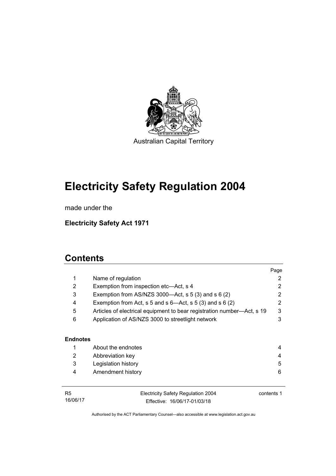

# **Electricity Safety Regulation 2004**

made under the

**Electricity Safety Act 1971** 

## **Contents**

|                 |                                                                        | Page       |  |  |
|-----------------|------------------------------------------------------------------------|------------|--|--|
| 1               | Name of regulation                                                     | 2          |  |  |
| 2               | Exemption from inspection etc-Act, s 4                                 |            |  |  |
| 3               | Exemption from AS/NZS 3000- $Act$ , s 5 (3) and s 6 (2)                |            |  |  |
| 4               | Exemption from Act, s 5 and s $6$ —Act, s 5 (3) and s 6 (2)            |            |  |  |
| 5               | Articles of electrical equipment to bear registration number—Act, s 19 |            |  |  |
| 6               | Application of AS/NZS 3000 to streetlight network                      |            |  |  |
|                 |                                                                        |            |  |  |
| <b>Endnotes</b> |                                                                        |            |  |  |
| 1               | About the endnotes                                                     | 4          |  |  |
| 2               | Abbreviation key                                                       |            |  |  |
| 3               | Legislation history                                                    | 5          |  |  |
| 4               | Amendment history                                                      | 6          |  |  |
|                 |                                                                        |            |  |  |
| R <sub>5</sub>  | Electricity Safety Regulation 2004                                     | contents 1 |  |  |
| 16/06/17        | Effective: 16/06/17-01/03/18                                           |            |  |  |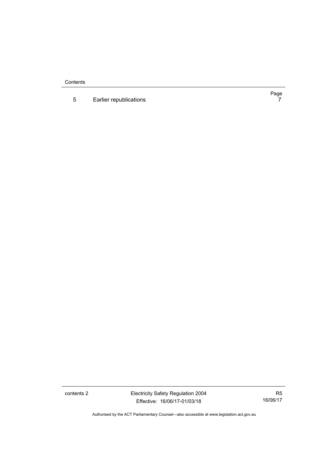**Contents** 

5 [Earlier republications 7](#page-10-0)

Page<br>7

contents 2 Electricity Safety Regulation 2004 Effective: 16/06/17-01/03/18

R5 16/06/17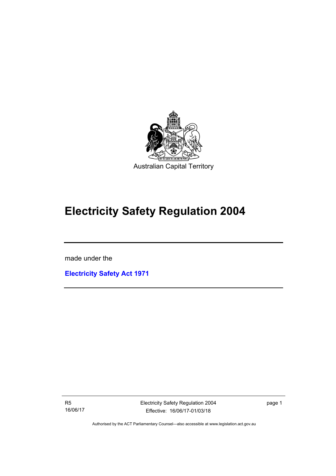

## **Electricity Safety Regulation 2004**

made under the

I

**[Electricity Safety Act 1971](http://www.legislation.act.gov.au/a/1971-30)**

R5 16/06/17 Electricity Safety Regulation 2004 Effective: 16/06/17-01/03/18

page 1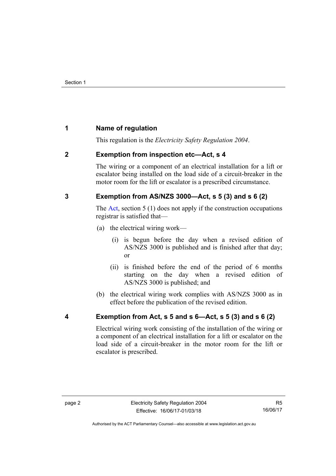## <span id="page-5-0"></span>**1 Name of regulation**

This regulation is the *Electricity Safety Regulation 2004*.

## <span id="page-5-1"></span>**2 Exemption from inspection etc—Act, s 4**

The wiring or a component of an electrical installation for a lift or escalator being installed on the load side of a circuit-breaker in the motor room for the lift or escalator is a prescribed circumstance.

## <span id="page-5-2"></span>**3 Exemption from AS/NZS 3000—Act, s 5 (3) and s 6 (2)**

The [Act](http://www.legislation.act.gov.au/a/1971-30/default.asp), section 5 (1) does not apply if the construction occupations registrar is satisfied that—

- (a) the electrical wiring work—
	- (i) is begun before the day when a revised edition of AS/NZS 3000 is published and is finished after that day; or
	- (ii) is finished before the end of the period of 6 months starting on the day when a revised edition of AS/NZS 3000 is published; and
- (b) the electrical wiring work complies with AS/NZS 3000 as in effect before the publication of the revised edition.

<span id="page-5-3"></span>

## **4 Exemption from Act, s 5 and s 6—Act, s 5 (3) and s 6 (2)**

Electrical wiring work consisting of the installation of the wiring or a component of an electrical installation for a lift or escalator on the load side of a circuit-breaker in the motor room for the lift or escalator is prescribed.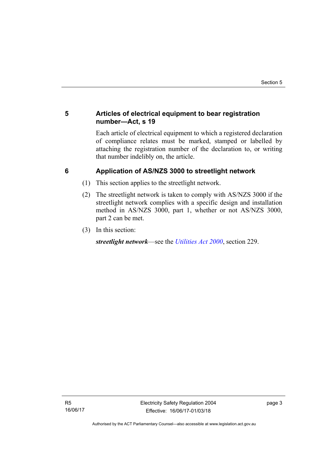## <span id="page-6-0"></span>**5 Articles of electrical equipment to bear registration number—Act, s 19**

Each article of electrical equipment to which a registered declaration of compliance relates must be marked, stamped or labelled by attaching the registration number of the declaration to, or writing that number indelibly on, the article.

## <span id="page-6-1"></span>**6 Application of AS/NZS 3000 to streetlight network**

- (1) This section applies to the streetlight network.
- (2) The streetlight network is taken to comply with AS/NZS 3000 if the streetlight network complies with a specific design and installation method in AS/NZS 3000, part 1, whether or not AS/NZS 3000, part 2 can be met.
- (3) In this section:

*streetlight network*—see the *[Utilities Act 2000](http://www.legislation.act.gov.au/a/2000-65)*, section 229.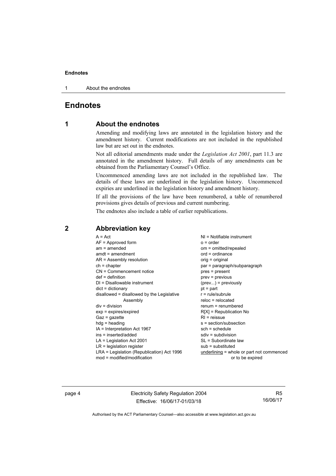1 About the endnotes

## <span id="page-7-0"></span>**Endnotes**

## **1 About the endnotes**

Amending and modifying laws are annotated in the legislation history and the amendment history. Current modifications are not included in the republished law but are set out in the endnotes.

Not all editorial amendments made under the *Legislation Act 2001*, part 11.3 are annotated in the amendment history. Full details of any amendments can be obtained from the Parliamentary Counsel's Office.

Uncommenced amending laws are not included in the republished law. The details of these laws are underlined in the legislation history. Uncommenced expiries are underlined in the legislation history and amendment history.

If all the provisions of the law have been renumbered, a table of renumbered provisions gives details of previous and current numbering.

The endnotes also include a table of earlier republications.

| $A = Act$<br>$AF =$ Approved form<br>$am = amended$<br>$amdt = amendment$<br>AR = Assembly resolution<br>$ch = chapter$<br>CN = Commencement notice<br>$def = definition$<br>$DI = Disallowable instrument$<br>$dict = dictionary$<br>disallowed = disallowed by the Legislative<br>Assembly<br>$div = division$<br>$exp = expires/expired$<br>$Gaz = qazette$<br>$h dq =$ heading<br>IA = Interpretation Act 1967<br>ins = inserted/added<br>$LA =$ Legislation Act 2001<br>$LR =$ legislation register | $NI = Notifiable$ instrument<br>$o = order$<br>om = omitted/repealed<br>$ord = ordinance$<br>orig = original<br>par = paragraph/subparagraph<br>pres = present<br>$prev = previous$<br>$(\text{prev}) = \text{previously}$<br>$pt = part$<br>$r = rule/subrule$<br>$reloc = relocated$<br>$renum = renumbered$<br>$R[X]$ = Republication No<br>$RI =$ reissue<br>s = section/subsection<br>$sch = schedule$<br>$sdiv = subdivision$<br>SL = Subordinate law<br>$sub =$ substituted |
|----------------------------------------------------------------------------------------------------------------------------------------------------------------------------------------------------------------------------------------------------------------------------------------------------------------------------------------------------------------------------------------------------------------------------------------------------------------------------------------------------------|------------------------------------------------------------------------------------------------------------------------------------------------------------------------------------------------------------------------------------------------------------------------------------------------------------------------------------------------------------------------------------------------------------------------------------------------------------------------------------|
| LRA = Legislation (Republication) Act 1996                                                                                                                                                                                                                                                                                                                                                                                                                                                               | $underlining = whole or part not commenced$                                                                                                                                                                                                                                                                                                                                                                                                                                        |
| $mod = modified/modification$                                                                                                                                                                                                                                                                                                                                                                                                                                                                            | or to be expired                                                                                                                                                                                                                                                                                                                                                                                                                                                                   |

## <span id="page-7-2"></span>**2 Abbreviation key**

page 4 Electricity Safety Regulation 2004 Effective: 16/06/17-01/03/18

R5 16/06/17

<span id="page-7-1"></span>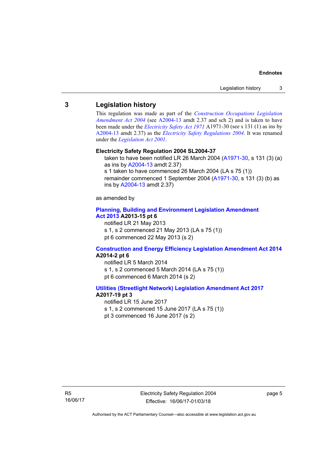### <span id="page-8-0"></span>**3 Legislation history**

This regulation was made as part of the *[Construction Occupations Legislation](http://www.legislation.act.gov.au/a/2004-13)  [Amendment Act 2004](http://www.legislation.act.gov.au/a/2004-13)* (see [A2004-13](http://www.legislation.act.gov.au/a/2004-13) amdt 2.37 and sch 2) and is taken to have been made under the *[Electricity Safety Act 1971](http://www.legislation.act.gov.au/a/1971-30)* A1971-30 (see s 131 (1) as ins by [A2004-13](http://www.legislation.act.gov.au/a/2004-13) amdt 2.37) as the *[Electricity Safety Regulations 2004](http://www.legislation.act.gov.au/sl/2004-37)*. It was renamed under the *[Legislation Act 2001](http://www.legislation.act.gov.au/a/2001-14)*.

#### **Electricity Safety Regulation 2004 SL2004-37**

taken to have been notified LR 26 March 2004 [\(A1971-30,](http://www.legislation.act.gov.au/a/1971-30) s 131 (3) (a) as ins by [A2004-13](http://www.legislation.act.gov.au/a/2004-13) amdt 2.37) s 1 taken to have commenced 26 March 2004 (LA s 75 (1)) remainder commenced 1 September 2004 [\(A1971-30,](http://www.legislation.act.gov.au/a/1971-30) s 131 (3) (b) as

as amended by

#### **[Planning, Building and Environment Legislation Amendment](http://www.legislation.act.gov.au/a/2013-15)  [Act 2013](http://www.legislation.act.gov.au/a/2013-15) A2013-15 pt 6**

notified LR 21 May 2013

ins by [A2004-13](http://www.legislation.act.gov.au/a/2004-13) amdt 2.37)

s 1, s 2 commenced 21 May 2013 (LA s 75 (1))

pt 6 commenced 22 May 2013 (s 2)

#### **[Construction and Energy Efficiency Legislation Amendment Act 2014](http://www.legislation.act.gov.au/a/2014-2) A2014-2 pt 6**

notified LR 5 March 2014 s 1, s 2 commenced 5 March 2014 (LA s 75 (1)) pt 6 commenced 6 March 2014 (s 2)

#### **[Utilities \(Streetlight Network\) Legislation Amendment Act 2017](http://www.legislation.act.gov.au/a/2017-19/default.asp) A2017-19 pt 3**

notified LR 15 June 2017 s 1, s 2 commenced 15 June 2017 (LA s 75 (1)) pt 3 commenced 16 June 2017 (s 2)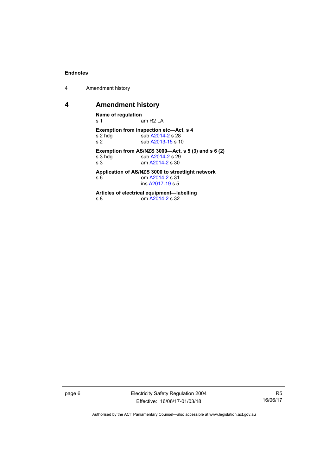4 Amendment history

### <span id="page-9-0"></span>**4 Amendment history**

**Name of regulation**  am R2 LA **Exemption from inspection etc—Act, s 4**<br>s 2 hdg sub A2014-2 s 28 s 2 hdg<br>s 2 sub [A2014-2](http://www.legislation.act.gov.au/a/2014-2) s 28<br>sub A2013-15 s 1 sub [A2013-15](http://www.legislation.act.gov.au/a/2013-15/default.asp) s 10 **Exemption from AS/NZS 3000—Act, s 5 (3) and s 6 (2)**  s 3 hdg sub [A2014-2](http://www.legislation.act.gov.au/a/2014-2) s 29<br>s 3 am A2014-2 s 30 am [A2014-2](http://www.legislation.act.gov.au/a/2014-2) s 30 **Application of AS/NZS 3000 to streetlight network**  s 6 **om [A2014-2](http://www.legislation.act.gov.au/a/2014-2) s 31**  ins [A2017-19](http://www.legislation.act.gov.au/a/2017-19/default.asp) s 5 **Articles of electrical equipment—labelling**  om [A2014-2](http://www.legislation.act.gov.au/a/2014-2) s 32

page 6 Electricity Safety Regulation 2004 Effective: 16/06/17-01/03/18

R5 16/06/17